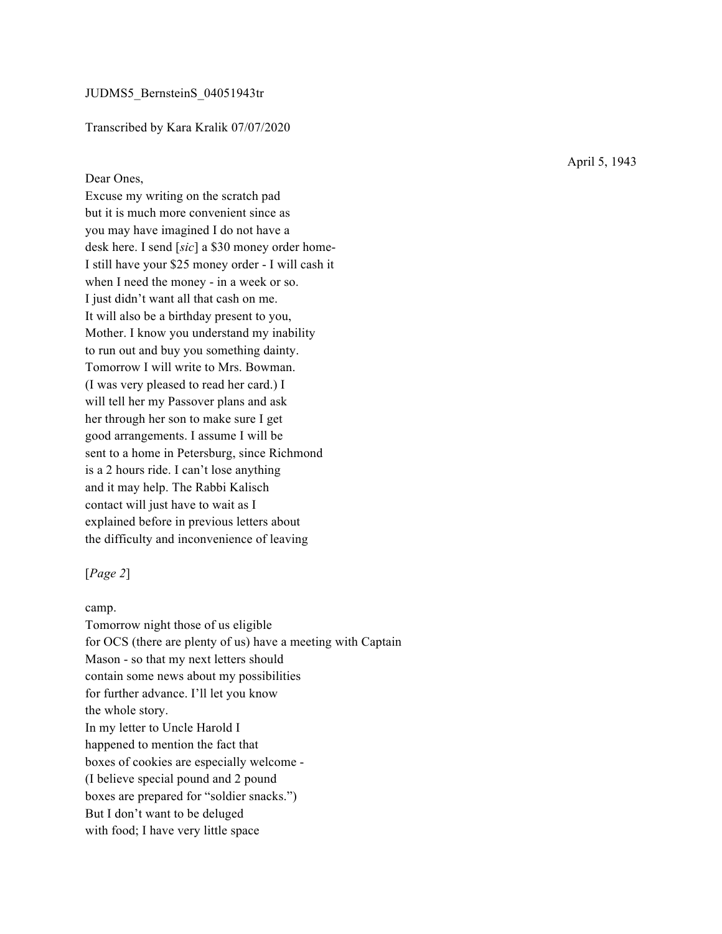### Transcribed by Kara Kralik 07/07/2020

## Dear Ones,

Excuse my writing on the scratch pad but it is much more convenient since as you may have imagined I do not have a desk here. I send [*sic*] a \$30 money order home-I still have your \$25 money order - I will cash it when I need the money - in a week or so. I just didn't want all that cash on me. It will also be a birthday present to you, Mother. I know you understand my inability to run out and buy you something dainty. Tomorrow I will write to Mrs. Bowman. (I was very pleased to read her card.) I will tell her my Passover plans and ask her through her son to make sure I get good arrangements. I assume I will be sent to a home in Petersburg, since Richmond is a 2 hours ride. I can't lose anything and it may help. The Rabbi Kalisch contact will just have to wait as I explained before in previous letters about the difficulty and inconvenience of leaving

## [*Page 2*]

#### camp.

Tomorrow night those of us eligible for OCS (there are plenty of us) have a meeting with Captain Mason - so that my next letters should contain some news about my possibilities for further advance. I'll let you know the whole story. In my letter to Uncle Harold I happened to mention the fact that boxes of cookies are especially welcome - (I believe special pound and 2 pound boxes are prepared for "soldier snacks.") But I don't want to be deluged with food; I have very little space

April 5, 1943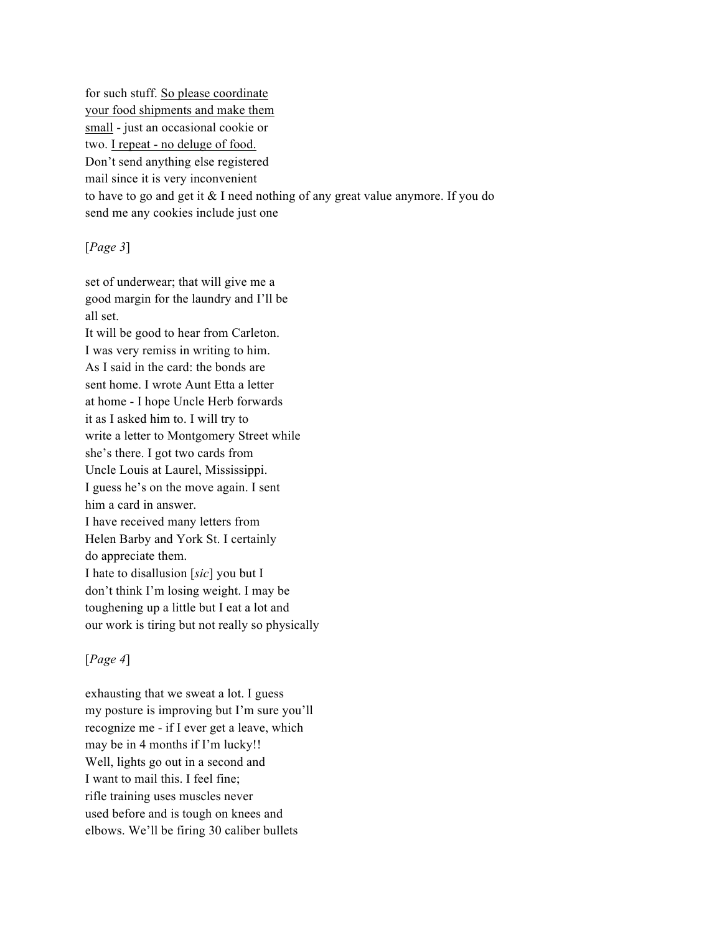for such stuff. So please coordinate your food shipments and make them small - just an occasional cookie or two. I repeat - no deluge of food. Don't send anything else registered mail since it is very inconvenient to have to go and get it & I need nothing of any great value anymore. If you do send me any cookies include just one

# [*Page 3*]

set of underwear; that will give me a good margin for the laundry and I'll be all set.

It will be good to hear from Carleton. I was very remiss in writing to him. As I said in the card: the bonds are sent home. I wrote Aunt Etta a letter at home - I hope Uncle Herb forwards it as I asked him to. I will try to write a letter to Montgomery Street while she's there. I got two cards from Uncle Louis at Laurel, Mississippi. I guess he's on the move again. I sent him a card in answer. I have received many letters from Helen Barby and York St. I certainly do appreciate them. I hate to disallusion [*sic*] you but I don't think I'm losing weight. I may be toughening up a little but I eat a lot and our work is tiring but not really so physically

## [*Page 4*]

exhausting that we sweat a lot. I guess my posture is improving but I'm sure you'll recognize me - if I ever get a leave, which may be in 4 months if I'm lucky!! Well, lights go out in a second and I want to mail this. I feel fine; rifle training uses muscles never used before and is tough on knees and elbows. We'll be firing 30 caliber bullets